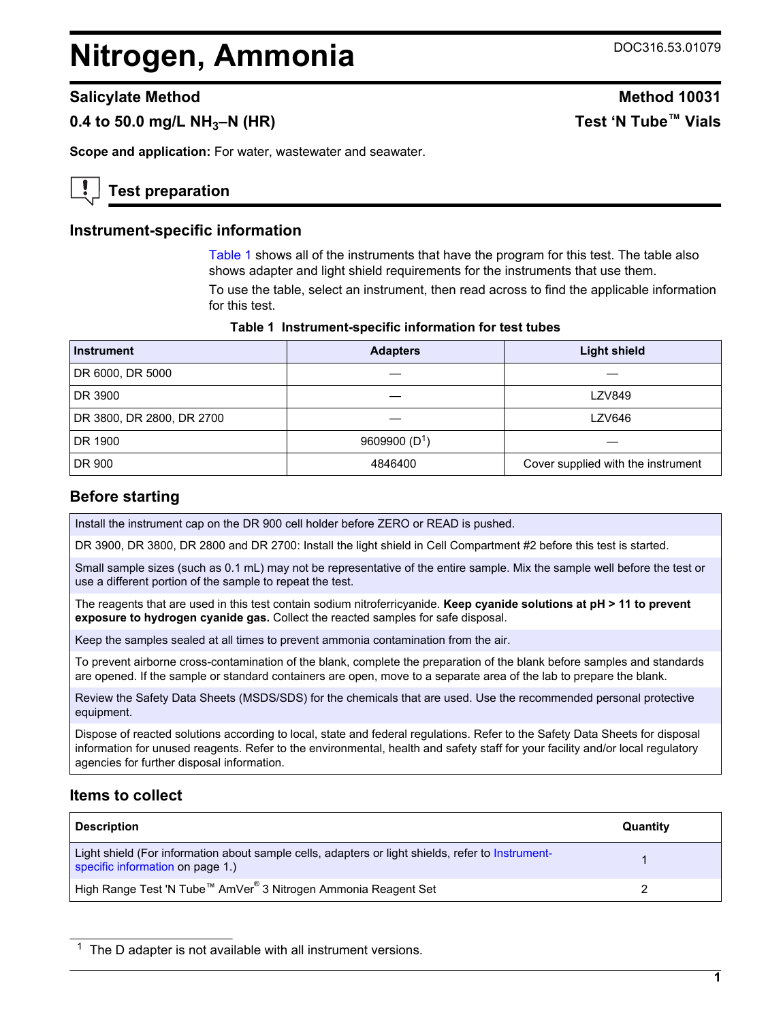# <span id="page-0-0"></span>**Nitrogen, Ammonia** DOC316.53.01079

## **Salicylate Method Method Method Method** 10031

# **0.4 to 50.0 mg/L NH3–N (HR) Test 'N Tube™ Vials**

**Scope and application:** For water, wastewater and seawater.

# **Test preparation**

## **Instrument-specific information**

Table 1 shows all of the instruments that have the program for this test. The table also shows adapter and light shield requirements for the instruments that use them.

To use the table, select an instrument, then read across to find the applicable information for this test.

| Table 1 Instrument-specific information for test tubes |
|--------------------------------------------------------|
|--------------------------------------------------------|

| <b>Instrument</b>         | <b>Adapters</b> | <b>Light shield</b>                |
|---------------------------|-----------------|------------------------------------|
| DR 6000, DR 5000          |                 |                                    |
| DR 3900                   |                 | <b>LZV849</b>                      |
| DR 3800, DR 2800, DR 2700 |                 | LZV646                             |
| DR 1900                   | 9609900 $(D1)$  |                                    |
| DR 900                    | 4846400         | Cover supplied with the instrument |

### **Before starting**

Install the instrument cap on the DR 900 cell holder before ZERO or READ is pushed.

DR 3900, DR 3800, DR 2800 and DR 2700: Install the light shield in Cell Compartment #2 before this test is started.

Small sample sizes (such as 0.1 mL) may not be representative of the entire sample. Mix the sample well before the test or use a different portion of the sample to repeat the test.

The reagents that are used in this test contain sodium nitroferricyanide. **Keep cyanide solutions at pH > 11 to prevent exposure to hydrogen cyanide gas.** Collect the reacted samples for safe disposal.

Keep the samples sealed at all times to prevent ammonia contamination from the air.

To prevent airborne cross-contamination of the blank, complete the preparation of the blank before samples and standards are opened. If the sample or standard containers are open, move to a separate area of the lab to prepare the blank.

Review the Safety Data Sheets (MSDS/SDS) for the chemicals that are used. Use the recommended personal protective equipment.

Dispose of reacted solutions according to local, state and federal regulations. Refer to the Safety Data Sheets for disposal information for unused reagents. Refer to the environmental, health and safety staff for your facility and/or local regulatory agencies for further disposal information.

## **Items to collect**

| <b>Description</b>                                                                                                                    | Quantity |
|---------------------------------------------------------------------------------------------------------------------------------------|----------|
| Light shield (For information about sample cells, adapters or light shields, refer to Instrument-<br>specific information on page 1.) |          |
| High Range Test 'N Tube™ AmVer® 3 Nitrogen Ammonia Reagent Set                                                                        |          |

 $1$  The D adapter is not available with all instrument versions.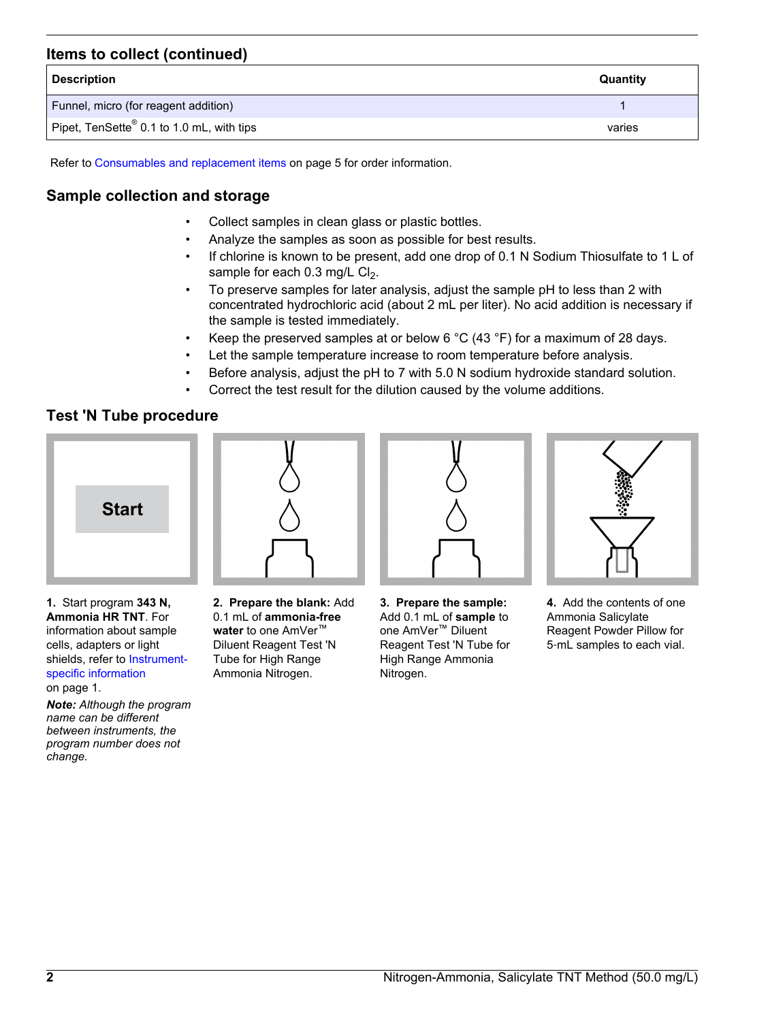## **Items to collect (continued)**

| <b>Description</b>                                    | Quantity |
|-------------------------------------------------------|----------|
| Funnel, micro (for reagent addition)                  |          |
| Pipet, TenSette <sup>®</sup> 0.1 to 1.0 mL, with tips | varies   |

Refer to [Consumables and replacement items](#page-4-0) on page 5 for order information.

## **Sample collection and storage**

- Collect samples in clean glass or plastic bottles.
- Analyze the samples as soon as possible for best results.
- If chlorine is known to be present, add one drop of 0.1 N Sodium Thiosulfate to 1 L of sample for each  $0.3$  mg/L Cl<sub>2</sub>.
- To preserve samples for later analysis, adjust the sample pH to less than 2 with concentrated hydrochloric acid (about 2 mL per liter). No acid addition is necessary if the sample is tested immediately.
- Keep the preserved samples at or below 6  $^{\circ}$ C (43  $^{\circ}$ F) for a maximum of 28 days.
- Let the sample temperature increase to room temperature before analysis.
- Before analysis, adjust the pH to 7 with 5.0 N sodium hydroxide standard solution.
- Correct the test result for the dilution caused by the volume additions.

## **Test 'N Tube procedure**



**1.** Start program **343 N, Ammonia HR TNT**. For information about sample cells, adapters or light shields, refer to [Instrument](#page-0-0)[specific information](#page-0-0) on page 1.

*Note: Although the program name can be different between instruments, the program number does not change.*



**2. Prepare the blank:** Add 0.1 mL of **ammonia-free water** to one AmVer™ Diluent Reagent Test 'N Tube for High Range Ammonia Nitrogen.



**3. Prepare the sample:** Add 0.1 mL of **sample** to one AmVer™ Diluent Reagent Test 'N Tube for High Range Ammonia Nitrogen.



**4.** Add the contents of one Ammonia Salicylate Reagent Powder Pillow for 5‑mL samples to each vial.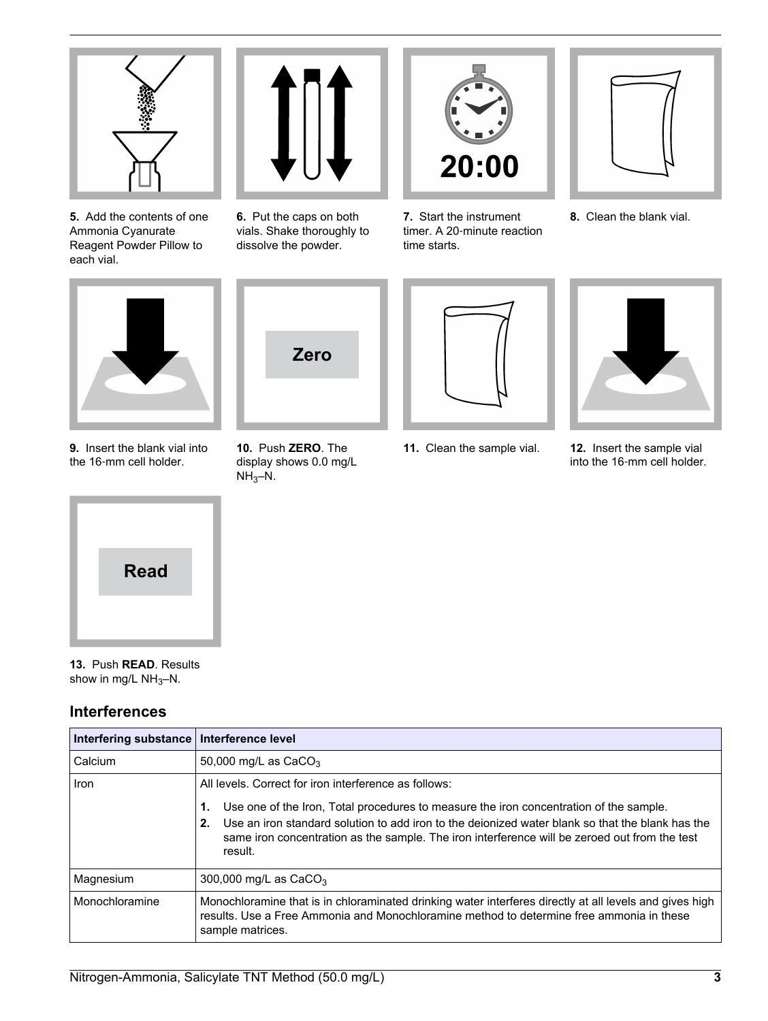

**5.** Add the contents of one Ammonia Cyanurate Reagent Powder Pillow to each vial.



**6.** Put the caps on both vials. Shake thoroughly to dissolve the powder.



**7.** Start the instrument timer. A 20‑minute reaction time starts.



**8.** Clean the blank vial.



**9.** Insert the blank vial into the 16-mm cell holder.



**10.** Push **ZERO**. The display shows 0.0 mg/L  $NH<sub>3</sub>-N.$ 



**11.** Clean the sample vial. **12.** Insert the sample vial



into the 16‑mm cell holder.



**13.** Push **READ**. Results show in mg/L  $NH_3-N$ .

# **Interferences**

| Interfering substance | Interference level                                                                                                                                                                                                                                                                                                 |
|-----------------------|--------------------------------------------------------------------------------------------------------------------------------------------------------------------------------------------------------------------------------------------------------------------------------------------------------------------|
| Calcium               | 50,000 mg/L as $CaCO3$                                                                                                                                                                                                                                                                                             |
| <b>Iron</b>           | All levels. Correct for iron interference as follows:                                                                                                                                                                                                                                                              |
|                       | Use one of the Iron, Total procedures to measure the iron concentration of the sample.<br>1.<br>Use an iron standard solution to add iron to the deionized water blank so that the blank has the<br>2.<br>same iron concentration as the sample. The iron interference will be zeroed out from the test<br>result. |
| Magnesium             | 300,000 mg/L as $CaCO3$                                                                                                                                                                                                                                                                                            |
| Monochloramine        | Monochloramine that is in chloraminated drinking water interferes directly at all levels and gives high<br>results. Use a Free Ammonia and Monochloramine method to determine free ammonia in these<br>sample matrices.                                                                                            |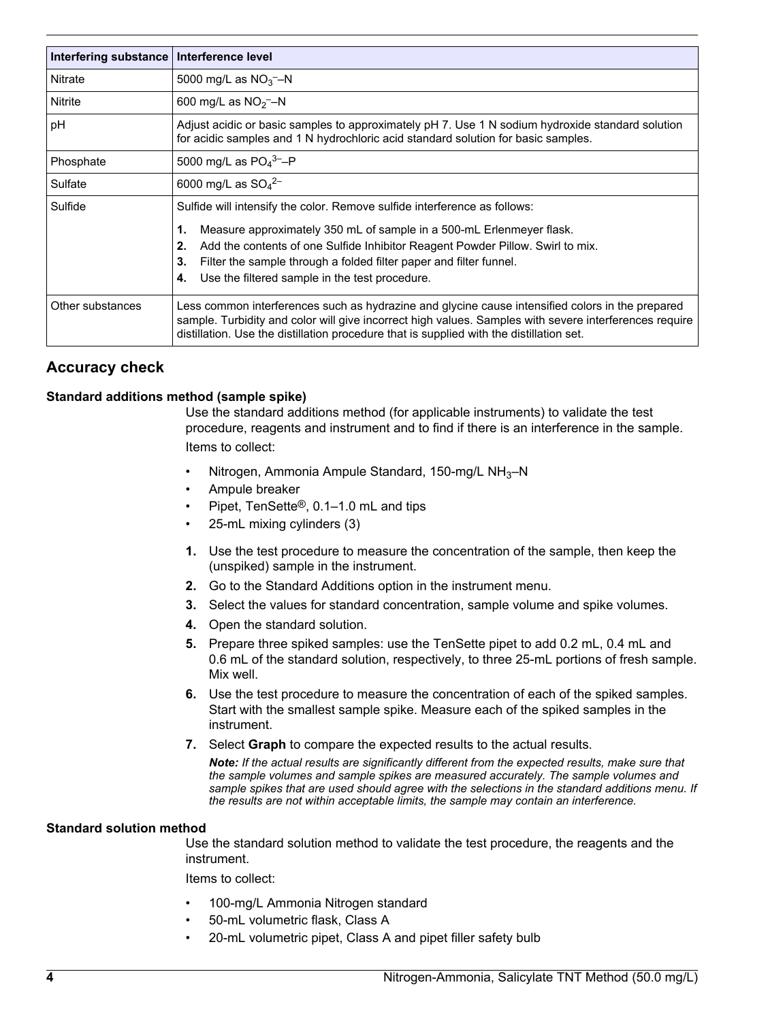| Interfering substance | Interference level                                                                                                                                                                                                                                                                                     |
|-----------------------|--------------------------------------------------------------------------------------------------------------------------------------------------------------------------------------------------------------------------------------------------------------------------------------------------------|
| Nitrate               | 5000 mg/L as $NO_3$ <sup>-</sup> -N                                                                                                                                                                                                                                                                    |
| Nitrite               | 600 mg/L as $NO_2$ <sup>-</sup> -N                                                                                                                                                                                                                                                                     |
| pH                    | Adjust acidic or basic samples to approximately pH 7. Use 1 N sodium hydroxide standard solution<br>for acidic samples and 1 N hydrochloric acid standard solution for basic samples.                                                                                                                  |
| Phosphate             | 5000 mg/L as $PO_4^{3-}$ -P                                                                                                                                                                                                                                                                            |
| Sulfate               | 6000 mg/L as $SO_4^{2-}$                                                                                                                                                                                                                                                                               |
| Sulfide               | Sulfide will intensify the color. Remove sulfide interference as follows:                                                                                                                                                                                                                              |
|                       | Measure approximately 350 mL of sample in a 500-mL Erlenmeyer flask.<br>1.<br>Add the contents of one Sulfide Inhibitor Reagent Powder Pillow. Swirl to mix.<br>2.<br>Filter the sample through a folded filter paper and filter funnel.<br>3.<br>Use the filtered sample in the test procedure.<br>4. |
| Other substances      | Less common interferences such as hydrazine and glycine cause intensified colors in the prepared<br>sample. Turbidity and color will give incorrect high values. Samples with severe interferences require<br>distillation. Use the distillation procedure that is supplied with the distillation set. |

## **Accuracy check**

### **Standard additions method (sample spike)**

Use the standard additions method (for applicable instruments) to validate the test procedure, reagents and instrument and to find if there is an interference in the sample. Items to collect:

- Nitrogen, Ammonia Ampule Standard, 150-mg/L NH $_3$ –N
- Ampule breaker
- Pipet, TenSette®, 0.1–1.0 mL and tips
- 25-mL mixing cylinders (3)
- **1.** Use the test procedure to measure the concentration of the sample, then keep the (unspiked) sample in the instrument.
- **2.** Go to the Standard Additions option in the instrument menu.
- **3.** Select the values for standard concentration, sample volume and spike volumes.
- **4.** Open the standard solution.
- **5.** Prepare three spiked samples: use the TenSette pipet to add 0.2 mL, 0.4 mL and 0.6 mL of the standard solution, respectively, to three 25-mL portions of fresh sample. Mix well.
- **6.** Use the test procedure to measure the concentration of each of the spiked samples. Start with the smallest sample spike. Measure each of the spiked samples in the instrument.
- **7.** Select **Graph** to compare the expected results to the actual results.

*Note: If the actual results are significantly different from the expected results, make sure that the sample volumes and sample spikes are measured accurately. The sample volumes and sample spikes that are used should agree with the selections in the standard additions menu. If the results are not within acceptable limits, the sample may contain an interference.*

#### **Standard solution method**

Use the standard solution method to validate the test procedure, the reagents and the instrument.

Items to collect:

- 100-mg/L Ammonia Nitrogen standard
- 50-mL volumetric flask, Class A
- 20-mL volumetric pipet, Class A and pipet filler safety bulb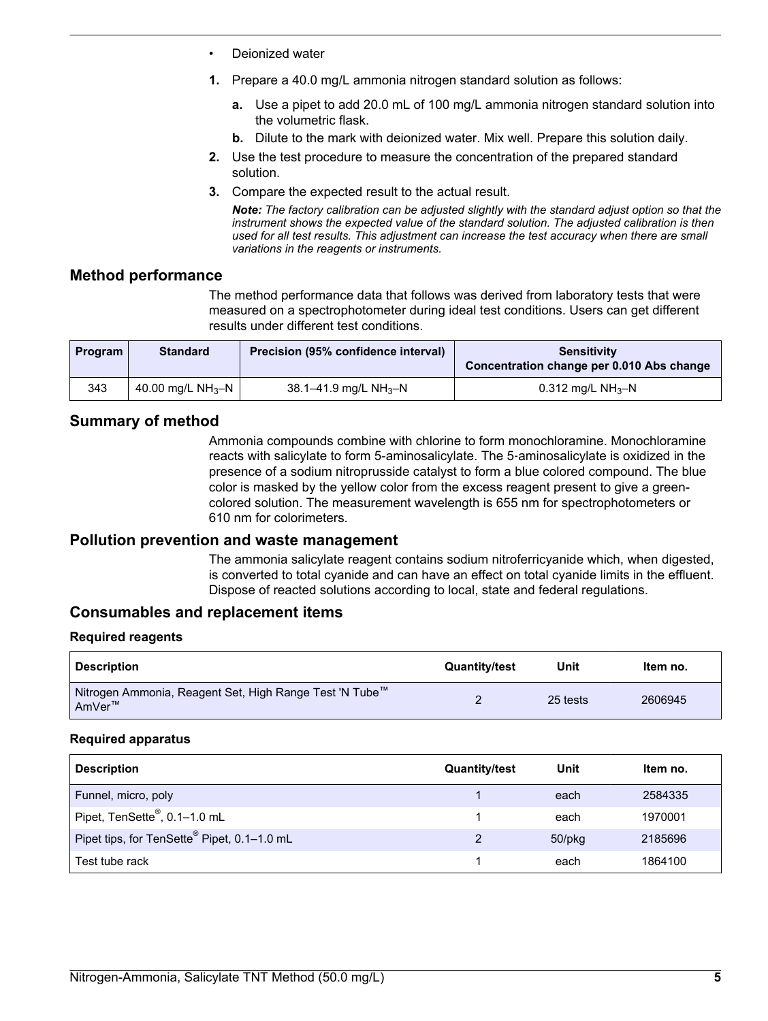- <span id="page-4-0"></span>• Deionized water
- **1.** Prepare a 40.0 mg/L ammonia nitrogen standard solution as follows:
	- **a.** Use a pipet to add 20.0 mL of 100 mg/L ammonia nitrogen standard solution into the volumetric flask.
	- **b.** Dilute to the mark with deionized water. Mix well. Prepare this solution daily.
- **2.** Use the test procedure to measure the concentration of the prepared standard solution.
- **3.** Compare the expected result to the actual result.

*Note: The factory calibration can be adjusted slightly with the standard adjust option so that the instrument shows the expected value of the standard solution. The adjusted calibration is then used for all test results. This adjustment can increase the test accuracy when there are small variations in the reagents or instruments.*

## **Method performance**

The method performance data that follows was derived from laboratory tests that were measured on a spectrophotometer during ideal test conditions. Users can get different results under different test conditions.

| <b>Program</b> | <b>Standard</b>    | Precision (95% confidence interval) | <b>Sensitivity</b><br>Concentration change per 0.010 Abs change |
|----------------|--------------------|-------------------------------------|-----------------------------------------------------------------|
| 343            | 40.00 mg/L $NH3–N$ | 38.1–41.9 mg/L NH <sub>3</sub> –N   | 0.312 mg/L NH <sub>3</sub> -N                                   |

## **Summary of method**

Ammonia compounds combine with chlorine to form monochloramine. Monochloramine reacts with salicylate to form 5-aminosalicylate. The 5‑aminosalicylate is oxidized in the presence of a sodium nitroprusside catalyst to form a blue colored compound. The blue color is masked by the yellow color from the excess reagent present to give a greencolored solution. The measurement wavelength is 655 nm for spectrophotometers or 610 nm for colorimeters.

## **Pollution prevention and waste management**

The ammonia salicylate reagent contains sodium nitroferricyanide which, when digested, is converted to total cyanide and can have an effect on total cyanide limits in the effluent. Dispose of reacted solutions according to local, state and federal regulations.

## **Consumables and replacement items**

#### **Required reagents**

| <b>Description</b>                                                | <b>Quantity/test</b> | Unit     | Item no. |
|-------------------------------------------------------------------|----------------------|----------|----------|
| Nitrogen Ammonia, Reagent Set, High Range Test 'N Tube™<br>AmVer™ |                      | 25 tests | 2606945  |

#### **Required apparatus**

| <b>Description</b>                                      | <b>Quantity/test</b> | Unit         | Item no. |
|---------------------------------------------------------|----------------------|--------------|----------|
| Funnel, micro, poly                                     |                      | each         | 2584335  |
| Pipet, TenSette®, 0.1-1.0 mL                            |                      | each         | 1970001  |
| Pipet tips, for TenSette <sup>®</sup> Pipet, 0.1-1.0 mL | 2                    | $50$ /p $kg$ | 2185696  |
| Test tube rack                                          |                      | each         | 1864100  |